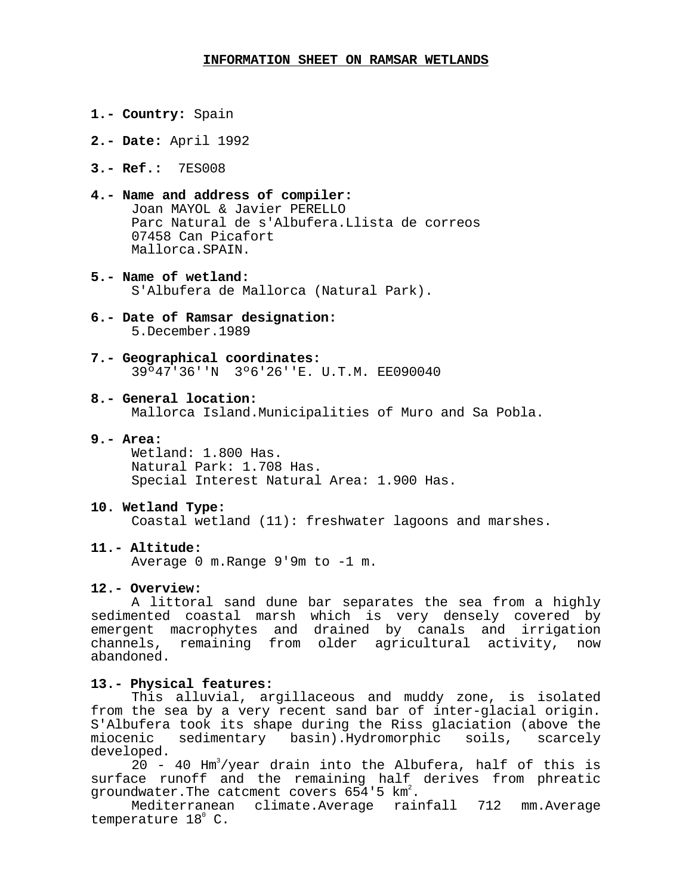#### **INFORMATION SHEET ON RAMSAR WETLANDS**

- **1.- Country:** Spain
- **2.- Date:** April 1992
- **3.- Ref.:** 7ES008
- **4.- Name and address of compiler:** Joan MAYOL & Javier PERELLO Parc Natural de s'Albufera.Llista de correos 07458 Can Picafort Mallorca.SPAIN.
- **5.- Name of wetland:** S'Albufera de Mallorca (Natural Park).
- **6.- Date of Ramsar designation:** 5.December.1989
- **7.- Geographical coordinates:** 39º47'36''N 3º6'26''E. U.T.M. EE090040
- **8.- General location:**

Mallorca Island.Municipalities of Muro and Sa Pobla.

## **9.- Area:**

Wetland: 1.800 Has. Natural Park: 1.708 Has. Special Interest Natural Area: 1.900 Has.

#### **10. Wetland Type:**

Coastal wetland (11): freshwater lagoons and marshes.

## **11.- Altitude:**

Average 0 m.Range 9'9m to -1 m.

#### **12.- Overview:**

A littoral sand dune bar separates the sea from a highly sedimented coastal marsh which is very densely covered by emergent macrophytes and drained by canals and irrigation channels, remaining from older agricultural activity, now abandoned.

### **13.- Physical features:**

This alluvial, argillaceous and muddy zone, is isolated from the sea by a very recent sand bar of inter-glacial origin. S'Albufera took its shape during the Riss glaciation (above the miocenic sedimentary basin).Hydromorphic soils, scarcely developed.

 $20$  - 40 Hm<sup>3</sup>/year drain into the Albufera, half of this is surface runoff and the remaining half derives from phreatic groundwater.The catcment covers  $654'5$  km<sup>2</sup>.

Mediterranean climate.Average rainfall 712 mm.Average temperature  $18^{\circ}$  C.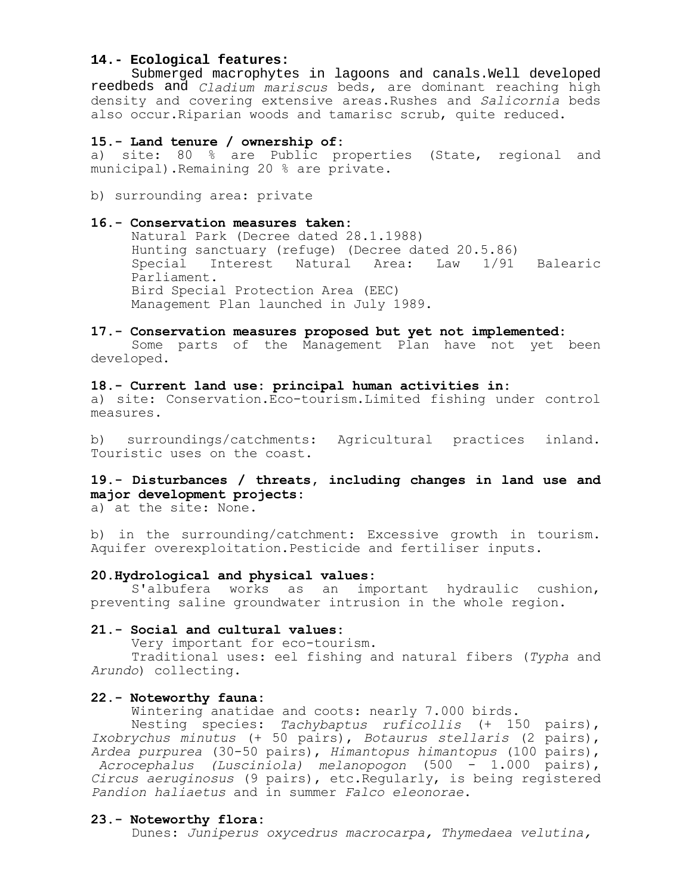## **14.- Ecological features:**

Submerged macrophytes in lagoons and canals.Well developed reedbeds and *Cladium mariscus* beds, are dominant reaching high density and covering extensive areas.Rushes and *Salicornia* beds also occur.Riparian woods and tamarisc scrub, quite reduced.

## **15.- Land tenure / ownership of:**

a) site: 80 % are Public properties (State, regional and municipal).Remaining 20 % are private.

b) surrounding area: private

## **16.- Conservation measures taken:**

Natural Park (Decree dated 28.1.1988) Hunting sanctuary (refuge) (Decree dated 20.5.86) Special Interest Natural Area: Law 1/91 Balearic Parliament. Bird Special Protection Area (EEC) Management Plan launched in July 1989.

## **17.- Conservation measures proposed but yet not implemented:**

Some parts of the Management Plan have not yet been developed.

# **18.- Current land use: principal human activities in:**

a) site: Conservation.Eco-tourism.Limited fishing under control measures.

b) surroundings/catchments: Agricultural practices inland. Touristic uses on the coast.

# **19.- Disturbances / threats, including changes in land use and major development projects:**

a) at the site: None.

b) in the surrounding/catchment: Excessive growth in tourism. Aquifer overexploitation.Pesticide and fertiliser inputs.

## **20.Hydrological and physical values:**

S'albufera works as an important hydraulic cushion, preventing saline groundwater intrusion in the whole region.

### **21.- Social and cultural values:**

Very important for eco-tourism.

Traditional uses: eel fishing and natural fibers (*Typha* and *Arundo*) collecting.

### **22.- Noteworthy fauna:**

Wintering anatidae and coots: nearly 7.000 birds.

Nesting species: *Tachybaptus ruficollis* (+ 150 pairs), *Ixobrychus minutus* (+ 50 pairs), *Botaurus stellaris* (2 pairs), *Ardea purpurea* (30-50 pairs), *Himantopus himantopus* (100 pairs),  *Acrocephalus (Lusciniola) melanopogon* (500 - 1.000 pairs), *Circus aeruginosus* (9 pairs), etc.Regularly, is being registered *Pandion haliaetus* and in summer *Falco eleonorae*.

## **23.- Noteworthy flora:**

Dunes: *Juniperus oxycedrus macrocarpa, Thymedaea velutina,*